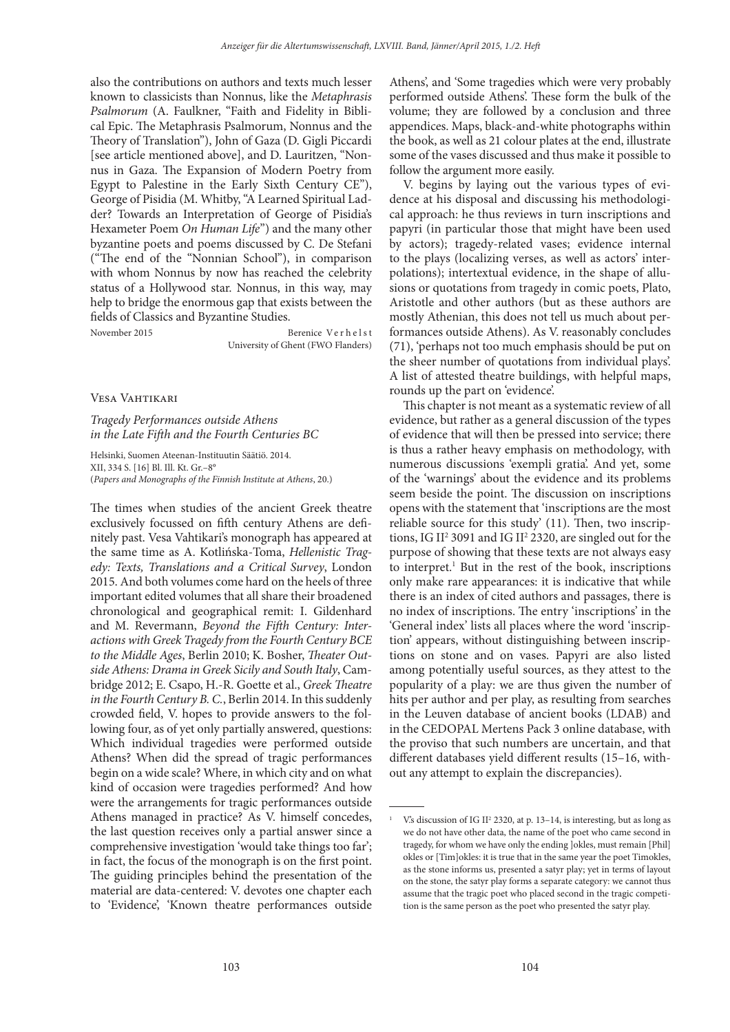also the contributions on authors and texts much lesser known to classicists than Nonnus, like the Metaphrasis Psalmorum (A. Faulkner, "Faith and Fidelity in Biblical Epic. The Metaphrasis Psalmorum, Nonnus and the Theory of Translation"), John of Gaza (D. Gigli Piccardi [see article mentioned above], and D. Lauritzen, "Nonnus in Gaza. The Expansion of Modern Poetry from Egypt to Palestine in the Early Sixth Century CE"), George of Pisidia (M. Whitby, "A Learned Spiritual Ladder? Towards an Interpretation of George of Pisidia's Hexameter Poem On Human Life") and the many other byzantine poets and poems discussed by C. De Stefani ("The end of the "Nonnian School"), in comparison with whom Nonnus by now has reached the celebrity status of a Hollywood star. Nonnus, in this way, may help to bridge the enormous gap that exists between the fields of Classics and Byzantine Studies.

November 2015 Berenice Verhelst University of Ghent (FWO Flanders)

Vesa Vahtikari

Tragedy Performances outside Athens in the Late Fifth and the Fourth Centuries BC

Helsinki, Suomen Ateenan-Instituutin Säätiö. 2014. XII, 334 S. [16] Bl. Ill. Kt. Gr.–8° (Papers and Monographs of the Finnish Institute at Athens, 20.)

The times when studies of the ancient Greek theatre exclusively focussed on fifth century Athens are definitely past. Vesa Vahtikari's monograph has appeared at the same time as A. Kotlińska-Toma, Hellenistic Tragedy: Texts, Translations and a Critical Survey, London 2015. And both volumes come hard on the heels of three important edited volumes that all share their broadened chronological and geographical remit: I. Gildenhard and M. Revermann, Beyond the Fifth Century: Interactions with Greek Tragedy from the Fourth Century BCE to the Middle Ages, Berlin 2010; K. Bosher, Theater Outside Athens: Drama in Greek Sicily and South Italy, Cambridge 2012; E. Csapo, H.-R. Goette et al., Greek Theatre in the Fourth Century B. C., Berlin 2014. In this suddenly crowded field, V. hopes to provide answers to the following four, as of yet only partially answered, questions: Which individual tragedies were performed outside Athens? When did the spread of tragic performances begin on a wide scale? Where, in which city and on what kind of occasion were tragedies performed? And how were the arrangements for tragic performances outside Athens managed in practice? As V. himself concedes, the last question receives only a partial answer since a comprehensive investigation 'would take things too far'; in fact, the focus of the monograph is on the first point. The guiding principles behind the presentation of the material are data-centered: V. devotes one chapter each to 'Evidence', 'Known theatre performances outside

Athens', and 'Some tragedies which were very probably performed outside Athens'. These form the bulk of the volume; they are followed by a conclusion and three appendices. Maps, black-and-white photographs within the book, as well as 21 colour plates at the end, illustrate some of the vases discussed and thus make it possible to follow the argument more easily.

V. begins by laying out the various types of evidence at his disposal and discussing his methodological approach: he thus reviews in turn inscriptions and papyri (in particular those that might have been used by actors); tragedy-related vases; evidence internal to the plays (localizing verses, as well as actors' interpolations); intertextual evidence, in the shape of allusions or quotations from tragedy in comic poets, Plato, Aristotle and other authors (but as these authors are mostly Athenian, this does not tell us much about performances outside Athens). As V. reasonably concludes (71), 'perhaps not too much emphasis should be put on the sheer number of quotations from individual plays'. A list of attested theatre buildings, with helpful maps, rounds up the part on 'evidence'.

This chapter is not meant as a systematic review of all evidence, but rather as a general discussion of the types of evidence that will then be pressed into service; there is thus a rather heavy emphasis on methodology, with numerous discussions 'exempli gratia'. And yet, some of the 'warnings' about the evidence and its problems seem beside the point. The discussion on inscriptions opens with the statement that 'inscriptions are the most reliable source for this study'  $(11)$ . Then, two inscriptions, IG II<sup>2</sup> 3091 and IG II<sup>2</sup> 2320, are singled out for the purpose of showing that these texts are not always easy to interpret.<sup>1</sup> But in the rest of the book, inscriptions only make rare appearances: it is indicative that while there is an index of cited authors and passages, there is no index of inscriptions. The entry 'inscriptions' in the 'General index' lists all places where the word 'inscription' appears, without distinguishing between inscriptions on stone and on vases. Papyri are also listed among potentially useful sources, as they attest to the popularity of a play: we are thus given the number of hits per author and per play, as resulting from searches in the Leuven database of ancient books (LDAB) and in the CEDOPAL Mertens Pack 3 online database, with the proviso that such numbers are uncertain, and that different databases yield different results (15–16, without any attempt to explain the discrepancies).

1

V.'s discussion of IG II<sup>2</sup> 2320, at p. 13-14, is interesting, but as long as we do not have other data, the name of the poet who came second in tragedy, for whom we have only the ending ]okles, must remain [Phil] okles or [Tim]okles: it is true that in the same year the poet Timokles, as the stone informs us, presented a satyr play; yet in terms of layout on the stone, the satyr play forms a separate category: we cannot thus assume that the tragic poet who placed second in the tragic competition is the same person as the poet who presented the satyr play.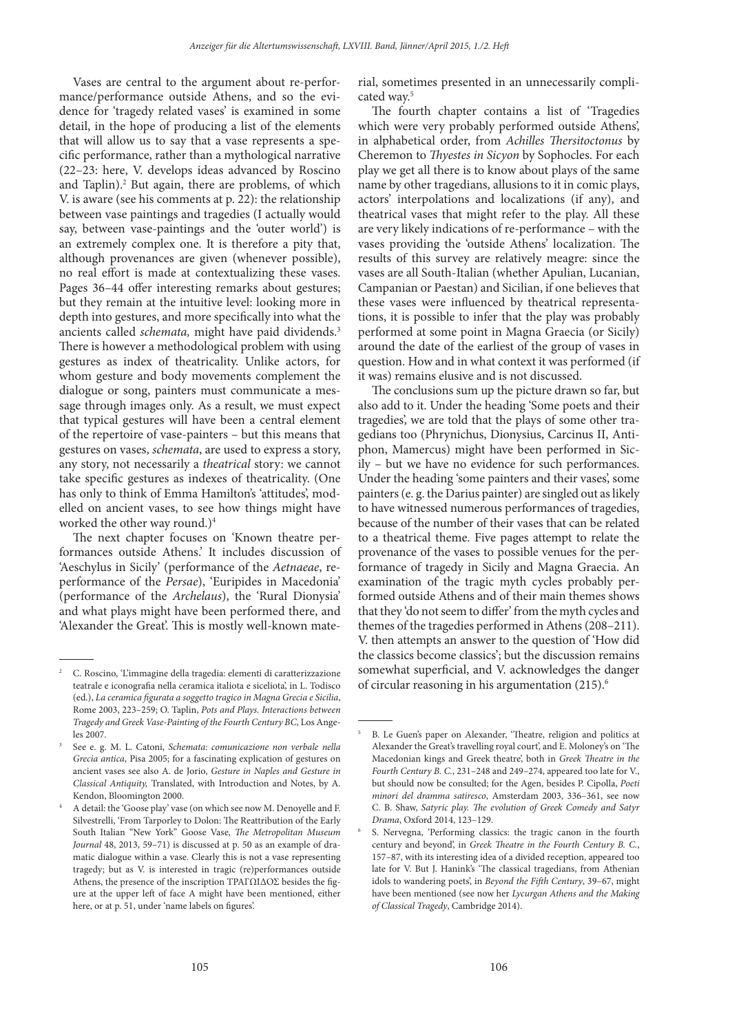5

Vases are central to the argument about re-performance/performance outside Athens, and so the evidence for 'tragedy related vases' is examined in some detail, in the hope of producing a list of the elements that will allow us to say that a vase represents a specific performance, rather than a mythological narrative (22–23: here, V. develops ideas advanced by Roscino and Taplin).<sup>2</sup> But again, there are problems, of which V. is aware (see his comments at p. 22): the relationship between vase paintings and tragedies (I actually would say, between vase-paintings and the 'outer world') is an extremely complex one. It is therefore a pity that, although provenances are given (whenever possible), no real effort is made at contextualizing these vases. Pages 36–44 offer interesting remarks about gestures; but they remain at the intuitive level: looking more in depth into gestures, and more specifically into what the ancients called *schemata*, might have paid dividends.<sup>3</sup> There is however a methodological problem with using gestures as index of theatricality. Unlike actors, for whom gesture and body movements complement the dialogue or song, painters must communicate a message through images only. As a result, we must expect that typical gestures will have been a central element of the repertoire of vase-painters – but this means that gestures on vases, schemata, are used to express a story, any story, not necessarily a theatrical story: we cannot take specific gestures as indexes of theatricality. (One has only to think of Emma Hamilton's 'attitudes', modelled on ancient vases, to see how things might have worked the other way round.)<sup>4</sup>

The next chapter focuses on 'Known theatre performances outside Athens.' It includes discussion of 'Aeschylus in Sicily' (performance of the Aetnaeae, reperformance of the Persae), 'Euripides in Macedonia' (performance of the Archelaus), the 'Rural Dionysia' and what plays might have been performed there, and 'Alexander the Great'. This is mostly well-known material, sometimes presented in an unnecessarily complicated way.<sup>5</sup>

The fourth chapter contains a list of 'Tragedies' which were very probably performed outside Athens', in alphabetical order, from Achilles Thersitoctonus by Cheremon to Thyestes in Sicyon by Sophocles. For each play we get all there is to know about plays of the same name by other tragedians, allusions to it in comic plays, actors' interpolations and localizations (if any), and theatrical vases that might refer to the play. All these are very likely indications of re-performance – with the vases providing the 'outside Athens' localization. The results of this survey are relatively meagre: since the vases are all South-Italian (whether Apulian, Lucanian, Campanian or Paestan) and Sicilian, if one believes that these vases were influenced by theatrical representations, it is possible to infer that the play was probably performed at some point in Magna Graecia (or Sicily) around the date of the earliest of the group of vases in question. How and in what context it was performed (if it was) remains elusive and is not discussed.

The conclusions sum up the picture drawn so far, but also add to it. Under the heading 'Some poets and their tragedies', we are told that the plays of some other tragedians too (Phrynichus, Dionysius, Carcinus II, Antiphon, Mamercus) might have been performed in Sicily – but we have no evidence for such performances. Under the heading 'some painters and their vases', some painters (e. g. the Darius painter) are singled out as likely to have witnessed numerous performances of tragedies, because of the number of their vases that can be related to a theatrical theme. Five pages attempt to relate the provenance of the vases to possible venues for the performance of tragedy in Sicily and Magna Graecia. An examination of the tragic myth cycles probably performed outside Athens and of their main themes shows that they 'do not seem to differ' from the myth cycles and themes of the tragedies performed in Athens (208–211). V. then attempts an answer to the question of 'How did the classics become classics'; but the discussion remains somewhat superficial, and V. acknowledges the danger of circular reasoning in his argumentation (215).<sup>6</sup>

C. Roscino, 'L'immagine della tragedia: elementi di caratterizzazione teatrale e iconografia nella ceramica italiota e siceliota', in L. Todisco (ed.), La ceramica figurata a soggetto tragico in Magna Grecia e Sicilia, Rome 2003, 223–259; O. Taplin, Pots and Plays. Interactions between Tragedy and Greek Vase-Painting of the Fourth Century BC, Los Angeles 2007.

<sup>3</sup> See e. g. M. L. Catoni, Schemata: comunicazione non verbale nella Grecia antica, Pisa 2005; for a fascinating explication of gestures on ancient vases see also A. de Jorio, Gesture in Naples and Gesture in Classical Antiquity, Translated, with Introduction and Notes, by A. Kendon, Bloomington 2000.

<sup>4</sup> A detail: the 'Goose play' vase (on which see now M. Denoyelle and F. Silvestrelli, 'From Tarporley to Dolon: The Reattribution of the Early South Italian "New York" Goose Vase, The Metropolitan Museum Journal 48, 2013, 59–71) is discussed at p. 50 as an example of dramatic dialogue within a vase. Clearly this is not a vase representing tragedy; but as V. is interested in tragic (re)performances outside Athens, the presence of the inscription ΤΡΑΓΩΙΔΟΣ besides the figure at the upper left of face A might have been mentioned, either here, or at p. 51, under 'name labels on figures'.

B. Le Guen's paper on Alexander, 'Theatre, religion and politics at Alexander the Great's travelling royal court', and E. Moloney's on 'The Macedonian kings and Greek theatre', both in Greek Theatre in the Fourth Century B. C., 231–248 and 249–274, appeared too late for V., but should now be consulted; for the Agen, besides P. Cipolla, Poeti minori del dramma satiresco, Amsterdam 2003, 336–361, see now C. B. Shaw, Satyric play. The evolution of Greek Comedy and Satyr Drama, Oxford 2014, 123–129.

<sup>6</sup> S. Nervegna, 'Performing classics: the tragic canon in the fourth century and beyond', in Greek Theatre in the Fourth Century B. C., 157–87, with its interesting idea of a divided reception, appeared too late for V. But J. Hanink's 'The classical tragedians, from Athenian idols to wandering poets', in Beyond the Fifth Century, 39-67, might have been mentioned (see now her Lycurgan Athens and the Making of Classical Tragedy, Cambridge 2014).